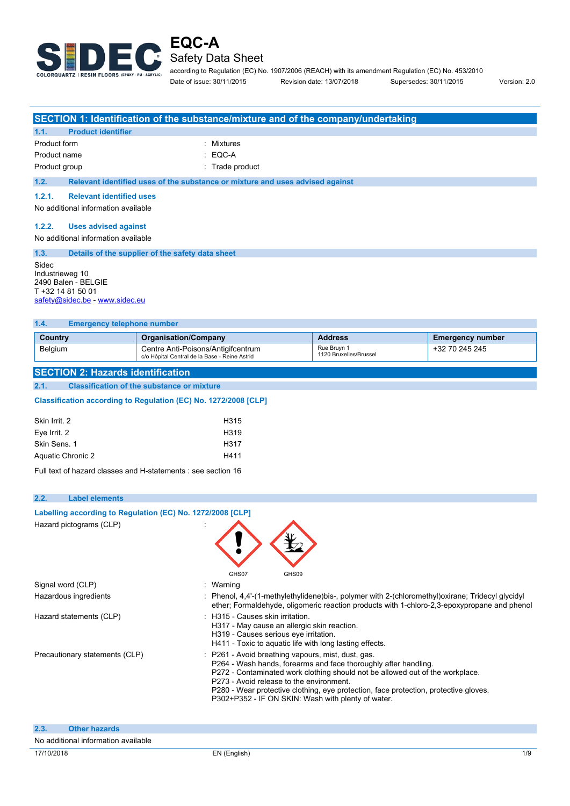

according to Regulation (EC) No. 1907/2006 (REACH) with its amendment Regulation (EC) No. 453/2010 Date of issue: 30/11/2015 Revision date: 13/07/2018 Supersedes: 30/11/2015 Version: 2.0

**SECTION 1: Identification of the substance/mixture and of the company/undertaking 1.1. Product identifier** Product form **: Mixtures** : Mixtures Product name : EQC-A Product group **in the contract of the contract of the contract of the contract of the contract of the contract of the contract of the contract of the contract of the contract of the contract of the contract of the contract 1.2. Relevant identified uses of the substance or mixture and uses advised against 1.2.1. Relevant identified uses** No additional information available **1.2.2. Uses advised against** No additional information available **1.3. Details of the supplier of the safety data sheet** Sidec Industrieweg 10 2490 Balen - BELGIE T +32 14 81 50 01 [safety@sidec.be](mailto:safety@sidec.be) - <www.sidec.eu> **1.4. Emergency telephone number Country Country Country Companisation/Company <b>Address Address Emergency number** 

Rue Bruyn 1 1120 Bruxelles/Brussel

+32 70 245 245

#### **SECTION 2: Hazards identification**

**2.1. Classification of the substance or mixture**

Classification according to Regulation (EC) No. 1272/2008 [CLP]

Belgium **Centre Anti-Poisons/Antigifcentrum** 

c/o Hôpital Central de la Base - Reine Astrid

| H315              |
|-------------------|
| H <sub>3</sub> 19 |
| H317              |
| H411              |
|                   |

Full text of hazard classes and H-statements : see section 16

**Labelling according to** Regulation (EC) No. 1272/2008 [CLP]

#### **2.2. Label elements**

| Hazard pictograms (CLP)             | GHS07<br>GHS09                                                                                                                                                                                                                                                                                                                                                                                 |
|-------------------------------------|------------------------------------------------------------------------------------------------------------------------------------------------------------------------------------------------------------------------------------------------------------------------------------------------------------------------------------------------------------------------------------------------|
| Signal word (CLP)                   | : Warning                                                                                                                                                                                                                                                                                                                                                                                      |
| Hazardous ingredients               | : Phenol, $4.4'$ -(1-methylethylidene)bis-, polymer with 2-(chloromethyl) oxirane; Tridecyl glycidyl<br>ether; Formaldehyde, oligomeric reaction products with 1-chloro-2,3-epoxypropane and phenol                                                                                                                                                                                            |
| Hazard statements (CLP)             | : H315 - Causes skin irritation.<br>H317 - May cause an allergic skin reaction.<br>H319 - Causes serious eye irritation.<br>H411 - Toxic to aquatic life with long lasting effects.                                                                                                                                                                                                            |
| Precautionary statements (CLP)      | P261 - Avoid breathing vapours, mist, dust, gas.<br>P264 - Wash hands, forearms and face thoroughly after handling.<br>P272 - Contaminated work clothing should not be allowed out of the workplace.<br>P273 - Avoid release to the environment.<br>P280 - Wear protective clothing, eye protection, face protection, protective gloves.<br>P302+P352 - IF ON SKIN: Wash with plenty of water. |
| 2.3.<br><b>Other hazards</b>        |                                                                                                                                                                                                                                                                                                                                                                                                |
| No additional information available |                                                                                                                                                                                                                                                                                                                                                                                                |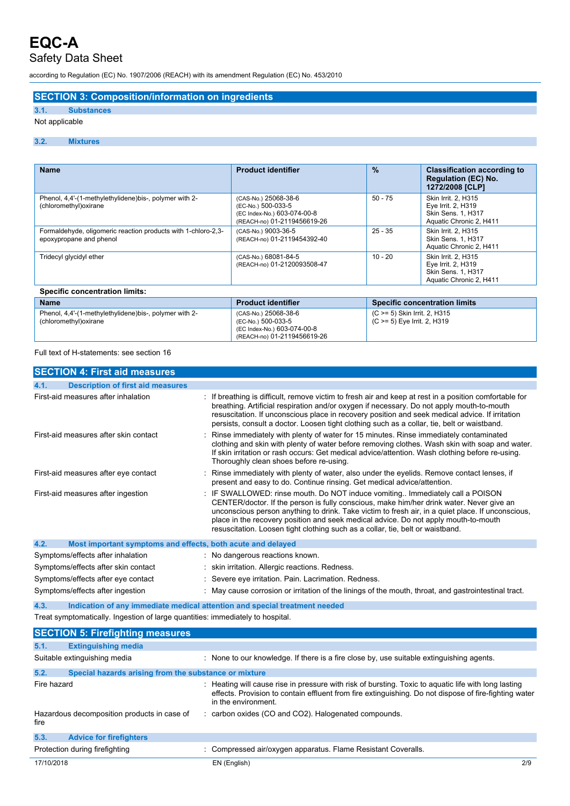according to Regulation (EC) No. 1907/2006 (REACH) with its amendment Regulation (EC) No. 453/2010

### **SECTION 3: Composition/information on ingredients**

### **3.1. Substances**

### Not applicable

#### **3.2. Mixtures**

| <b>Name</b>                                                                              | <b>Product identifier</b>                                                                                | $\frac{9}{6}$                                               | <b>Classification according to</b><br><b>Regulation (EC) No.</b><br>1272/2008 [CLP]        |
|------------------------------------------------------------------------------------------|----------------------------------------------------------------------------------------------------------|-------------------------------------------------------------|--------------------------------------------------------------------------------------------|
| Phenol, 4,4'-(1-methylethylidene)bis-, polymer with 2-<br>(chloromethyl) oxirane         | (CAS-No.) 25068-38-6<br>(EC-No.) 500-033-5<br>(EC Index-No.) 603-074-00-8<br>(REACH-no) 01-2119456619-26 | $50 - 75$                                                   | Skin Irrit. 2, H315<br>Eye Irrit. 2, H319<br>Skin Sens. 1, H317<br>Aquatic Chronic 2, H411 |
| Formaldehyde, oligomeric reaction products with 1-chloro-2,3-<br>epoxypropane and phenol | (CAS-No.) 9003-36-5<br>(REACH-no) 01-2119454392-40                                                       | $25 - 35$                                                   | Skin Irrit. 2, H315<br>Skin Sens. 1, H317<br>Aquatic Chronic 2, H411                       |
| Tridecyl glycidyl ether                                                                  | (CAS-No.) 68081-84-5<br>(REACH-no) 01-2120093508-47                                                      | $10 - 20$                                                   | Skin Irrit. 2, H315<br>Eye Irrit. 2, H319<br>Skin Sens. 1, H317<br>Aquatic Chronic 2, H411 |
| <b>Specific concentration limits:</b>                                                    |                                                                                                          |                                                             |                                                                                            |
| <b>Name</b>                                                                              | <b>Product identifier</b>                                                                                |                                                             | <b>Specific concentration limits</b>                                                       |
| Phenol, 4,4'-(1-methylethylidene)bis-, polymer with 2-<br>(chloromethyl) oxirane         | (CAS-No.) 25068-38-6<br>(EC-No.) 500-033-5<br>(EC Index-No.) 603-074-00-8                                | (C >= 5) Skin Irrit. 2, H315<br>(C >= 5) Eye Irrit. 2, H319 |                                                                                            |

(REACH-no) 01-2119456619-26

Full text of H-statements: see section 16

| <b>SECTION 4: First aid measures</b>                                           |                                                                                                                                                                                                                                                                                                                                                                                                                                                       |
|--------------------------------------------------------------------------------|-------------------------------------------------------------------------------------------------------------------------------------------------------------------------------------------------------------------------------------------------------------------------------------------------------------------------------------------------------------------------------------------------------------------------------------------------------|
| <b>Description of first aid measures</b><br>4.1.                               |                                                                                                                                                                                                                                                                                                                                                                                                                                                       |
| First-aid measures after inhalation                                            | If breathing is difficult, remove victim to fresh air and keep at rest in a position comfortable for<br>breathing. Artificial respiration and/or oxygen if necessary. Do not apply mouth-to-mouth<br>resuscitation. If unconscious place in recovery position and seek medical advice. If irritation<br>persists, consult a doctor. Loosen tight clothing such as a collar, tie, belt or waistband.                                                   |
| First-aid measures after skin contact                                          | Rinse immediately with plenty of water for 15 minutes. Rinse immediately contaminated<br>clothing and skin with plenty of water before removing clothes. Wash skin with soap and water.<br>If skin irritation or rash occurs: Get medical advice/attention. Wash clothing before re-using.<br>Thoroughly clean shoes before re-using.                                                                                                                 |
| First-aid measures after eye contact                                           | Rinse immediately with plenty of water, also under the eyelids. Remove contact lenses, if<br>present and easy to do. Continue rinsing. Get medical advice/attention.                                                                                                                                                                                                                                                                                  |
| First-aid measures after ingestion                                             | IF SWALLOWED: rinse mouth. Do NOT induce vomiting Immediately call a POISON<br>CENTER/doctor. If the person is fully conscious, make him/her drink water. Never give an<br>unconscious person anything to drink. Take victim to fresh air, in a quiet place. If unconscious,<br>place in the recovery position and seek medical advice. Do not apply mouth-to-mouth<br>resuscitation. Loosen tight clothing such as a collar, tie, belt or waistband. |
| Most important symptoms and effects, both acute and delayed<br>4.2.            |                                                                                                                                                                                                                                                                                                                                                                                                                                                       |
| Symptoms/effects after inhalation                                              | : No dangerous reactions known.                                                                                                                                                                                                                                                                                                                                                                                                                       |
| Symptoms/effects after skin contact                                            | skin irritation. Allergic reactions. Redness.                                                                                                                                                                                                                                                                                                                                                                                                         |
| Symptoms/effects after eye contact                                             | Severe eye irritation. Pain. Lacrimation. Redness.                                                                                                                                                                                                                                                                                                                                                                                                    |
| Symptoms/effects after ingestion                                               | May cause corrosion or irritation of the linings of the mouth, throat, and gastrointestinal tract.                                                                                                                                                                                                                                                                                                                                                    |
| 4.3.                                                                           | Indication of any immediate medical attention and special treatment needed                                                                                                                                                                                                                                                                                                                                                                            |
| Treat symptomatically. Ingestion of large quantities: immediately to hospital. |                                                                                                                                                                                                                                                                                                                                                                                                                                                       |
| <b>SECTION 5: Firefighting measures</b>                                        |                                                                                                                                                                                                                                                                                                                                                                                                                                                       |
| <b>Extinguishing media</b><br>5.1.                                             |                                                                                                                                                                                                                                                                                                                                                                                                                                                       |
| Suitable extinguishing media                                                   | : None to our knowledge. If there is a fire close by, use suitable extinguishing agents.                                                                                                                                                                                                                                                                                                                                                              |
| 5.2.<br>Special hazards arising from the substance or mixture                  |                                                                                                                                                                                                                                                                                                                                                                                                                                                       |
| Fire hazard                                                                    | Heating will cause rise in pressure with risk of bursting. Toxic to aquatic life with long lasting<br>effects. Provision to contain effluent from fire extinguishing. Do not dispose of fire-fighting water<br>in the environment.                                                                                                                                                                                                                    |
| Hazardous decomposition products in case of<br>fire                            | : carbon oxides (CO and CO2). Halogenated compounds.                                                                                                                                                                                                                                                                                                                                                                                                  |
| 5.3.<br><b>Advice for firefighters</b>                                         |                                                                                                                                                                                                                                                                                                                                                                                                                                                       |
| Protection during firefighting                                                 | : Compressed air/oxygen apparatus. Flame Resistant Coveralls.                                                                                                                                                                                                                                                                                                                                                                                         |
| 17/10/2018                                                                     | EN (English)<br>2/9                                                                                                                                                                                                                                                                                                                                                                                                                                   |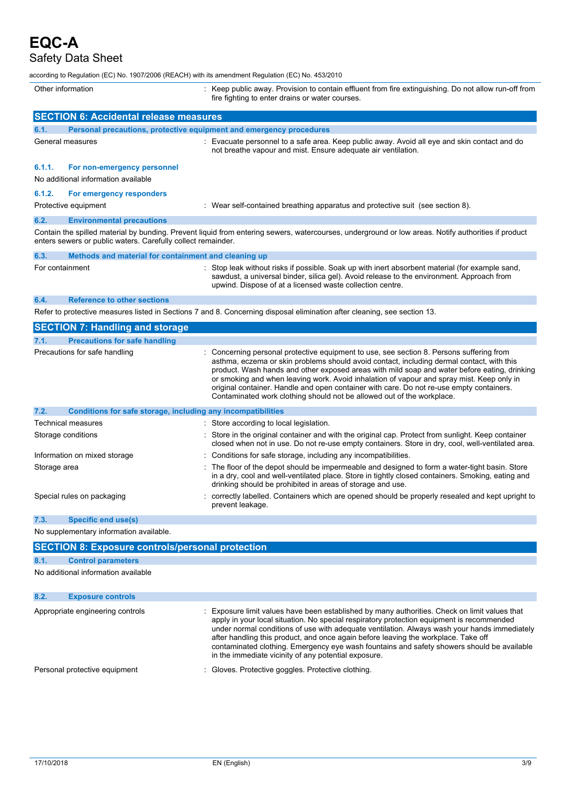# **EQC-A**

Safety Data Sheet

according to Regulation (EC) No. 1907/2006 (REACH) with its amendment Regulation (EC) No. 453/2010

| Other information |                                                                     | : Keep public away. Provision to contain effluent from fire extinguishing. Do not allow run-off from<br>fire fighting to enter drains or water courses.                                                                                                                                                                                                                                                                                                                                                                                                |
|-------------------|---------------------------------------------------------------------|--------------------------------------------------------------------------------------------------------------------------------------------------------------------------------------------------------------------------------------------------------------------------------------------------------------------------------------------------------------------------------------------------------------------------------------------------------------------------------------------------------------------------------------------------------|
|                   | <b>SECTION 6: Accidental release measures</b>                       |                                                                                                                                                                                                                                                                                                                                                                                                                                                                                                                                                        |
| 6.1.              | Personal precautions, protective equipment and emergency procedures |                                                                                                                                                                                                                                                                                                                                                                                                                                                                                                                                                        |
|                   | General measures                                                    | : Evacuate personnel to a safe area. Keep public away. Avoid all eye and skin contact and do<br>not breathe vapour and mist. Ensure adequate air ventilation.                                                                                                                                                                                                                                                                                                                                                                                          |
| 6.1.1.            | For non-emergency personnel<br>No additional information available  |                                                                                                                                                                                                                                                                                                                                                                                                                                                                                                                                                        |
| 6.1.2.            | For emergency responders<br>Protective equipment                    | : Wear self-contained breathing apparatus and protective suit (see section 8).                                                                                                                                                                                                                                                                                                                                                                                                                                                                         |
| 6.2.              | <b>Environmental precautions</b>                                    |                                                                                                                                                                                                                                                                                                                                                                                                                                                                                                                                                        |
|                   | enters sewers or public waters. Carefully collect remainder.        | Contain the spilled material by bunding. Prevent liquid from entering sewers, watercourses, underground or low areas. Notify authorities if product                                                                                                                                                                                                                                                                                                                                                                                                    |
| 6.3.              | Methods and material for containment and cleaning up                |                                                                                                                                                                                                                                                                                                                                                                                                                                                                                                                                                        |
| For containment   |                                                                     | Stop leak without risks if possible. Soak up with inert absorbent material (for example sand,<br>sawdust, a universal binder, silica gel). Avoid release to the environment. Approach from<br>upwind. Dispose of at a licensed waste collection centre.                                                                                                                                                                                                                                                                                                |
| 6.4.              | <b>Reference to other sections</b>                                  |                                                                                                                                                                                                                                                                                                                                                                                                                                                                                                                                                        |
|                   |                                                                     | Refer to protective measures listed in Sections 7 and 8. Concerning disposal elimination after cleaning, see section 13.                                                                                                                                                                                                                                                                                                                                                                                                                               |
|                   | <b>SECTION 7: Handling and storage</b>                              |                                                                                                                                                                                                                                                                                                                                                                                                                                                                                                                                                        |
| 7.1.              | <b>Precautions for safe handling</b>                                |                                                                                                                                                                                                                                                                                                                                                                                                                                                                                                                                                        |
|                   | Precautions for safe handling                                       | Concerning personal protective equipment to use, see section 8. Persons suffering from<br>asthma, eczema or skin problems should avoid contact, including dermal contact, with this<br>product. Wash hands and other exposed areas with mild soap and water before eating, drinking<br>or smoking and when leaving work. Avoid inhalation of vapour and spray mist. Keep only in<br>original container. Handle and open container with care. Do not re-use empty containers.<br>Contaminated work clothing should not be allowed out of the workplace. |
| 7.2.              | Conditions for safe storage, including any incompatibilities        |                                                                                                                                                                                                                                                                                                                                                                                                                                                                                                                                                        |
|                   | <b>Technical measures</b>                                           | : Store according to local legislation.                                                                                                                                                                                                                                                                                                                                                                                                                                                                                                                |
|                   | Storage conditions                                                  | Store in the original container and with the original cap. Protect from sunlight. Keep container<br>closed when not in use. Do not re-use empty containers. Store in dry, cool, well-ventilated area.                                                                                                                                                                                                                                                                                                                                                  |
|                   | Information on mixed storage                                        | Conditions for safe storage, including any incompatibilities.                                                                                                                                                                                                                                                                                                                                                                                                                                                                                          |
| Storage area      |                                                                     | The floor of the depot should be impermeable and designed to form a water-tight basin. Store<br>in a dry, cool and well-ventilated place. Store in tightly closed containers. Smoking, eating and<br>drinking should be prohibited in areas of storage and use.                                                                                                                                                                                                                                                                                        |
|                   | Special rules on packaging                                          | correctly labelled. Containers which are opened should be properly resealed and kept upright to<br>prevent leakage.                                                                                                                                                                                                                                                                                                                                                                                                                                    |
| 7.3.              | <b>Specific end use(s)</b>                                          |                                                                                                                                                                                                                                                                                                                                                                                                                                                                                                                                                        |
|                   | No supplementary information available.                             |                                                                                                                                                                                                                                                                                                                                                                                                                                                                                                                                                        |
|                   | <b>SECTION 8: Exposure controls/personal protection</b>             |                                                                                                                                                                                                                                                                                                                                                                                                                                                                                                                                                        |
| 8.1.              | <b>Control parameters</b>                                           |                                                                                                                                                                                                                                                                                                                                                                                                                                                                                                                                                        |
|                   | No additional information available                                 |                                                                                                                                                                                                                                                                                                                                                                                                                                                                                                                                                        |
| 8.2.              | <b>Exposure controls</b>                                            |                                                                                                                                                                                                                                                                                                                                                                                                                                                                                                                                                        |
|                   | Appropriate engineering controls                                    | Exposure limit values have been established by many authorities. Check on limit values that<br>apply in your local situation. No special respiratory protection equipment is recommended<br>under normal conditions of use with adequate ventilation. Always wash your hands immediately<br>after handling this product, and once again before leaving the workplace. Take off<br>contaminated clothing. Emergency eye wash fountains and safety showers should be available<br>in the immediate vicinity of any potential exposure.                   |
|                   | Personal protective equipment                                       | Gloves. Protective goggles. Protective clothing.                                                                                                                                                                                                                                                                                                                                                                                                                                                                                                       |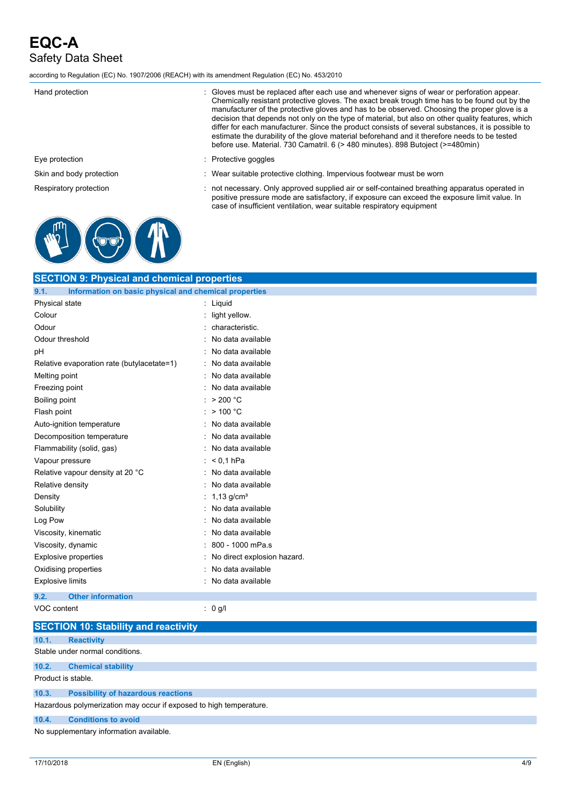according to Regulation (EC) No. 1907/2006 (REACH) with its amendment Regulation (EC) No. 453/2010

| Hand protection          | : Gloves must be replaced after each use and whenever signs of wear or perforation appear.<br>Chemically resistant protective gloves. The exact break trough time has to be found out by the<br>manufacturer of the protective gloves and has to be observed. Choosing the proper glove is a<br>decision that depends not only on the type of material, but also on other quality features, which<br>differ for each manufacturer. Since the product consists of several substances, it is possible to<br>estimate the durability of the glove material beforehand and it therefore needs to be tested<br>before use. Material. 730 Camatril. 6 (> 480 minutes). 898 Butoject (>=480min) |
|--------------------------|------------------------------------------------------------------------------------------------------------------------------------------------------------------------------------------------------------------------------------------------------------------------------------------------------------------------------------------------------------------------------------------------------------------------------------------------------------------------------------------------------------------------------------------------------------------------------------------------------------------------------------------------------------------------------------------|
| Eye protection           | $:$ Protective goggles                                                                                                                                                                                                                                                                                                                                                                                                                                                                                                                                                                                                                                                                   |
| Skin and body protection | : Wear suitable protective clothing. Impervious footwear must be worn                                                                                                                                                                                                                                                                                                                                                                                                                                                                                                                                                                                                                    |
| Respiratory protection   | not necessary. Only approved supplied air or self-contained breathing apparatus operated in                                                                                                                                                                                                                                                                                                                                                                                                                                                                                                                                                                                              |

positive pressure mode are satisfactory, if exposure can exceed the exposure limit value. In

case of insufficient ventilation, wear suitable respiratory equipment



| <b>SECTION 9: Physical and chemical properties</b>            |                             |  |
|---------------------------------------------------------------|-----------------------------|--|
| 9.1.<br>Information on basic physical and chemical properties |                             |  |
| Physical state                                                | : Liquid                    |  |
| Colour                                                        | light yellow.               |  |
| Odour                                                         | characteristic.             |  |
| Odour threshold                                               | No data available           |  |
| рH                                                            | No data available           |  |
| Relative evaporation rate (butylacetate=1)                    | No data available           |  |
| Melting point                                                 | No data available           |  |
| Freezing point                                                | No data available           |  |
| Boiling point                                                 | >200 °C                     |  |
| Flash point                                                   | $>$ 100 °C                  |  |
| Auto-ignition temperature                                     | : No data available         |  |
| Decomposition temperature                                     | No data available           |  |
| Flammability (solid, gas)                                     | No data available           |  |
| Vapour pressure                                               | : $< 0.1$ hPa               |  |
| Relative vapour density at 20 °C                              | No data available           |  |
| Relative density                                              | No data available           |  |
| Density                                                       | 1,13 $q/cm3$                |  |
| Solubility                                                    | No data available           |  |
| Log Pow                                                       | No data available           |  |
| Viscosity, kinematic                                          | No data available           |  |
| Viscosity, dynamic                                            | 800 - 1000 mPa.s            |  |
| <b>Explosive properties</b>                                   | No direct explosion hazard. |  |
| Oxidising properties                                          | No data available           |  |
| <b>Explosive limits</b>                                       | : No data available         |  |
| 9.2.<br><b>Other information</b>                              |                             |  |
| VOC content                                                   | : 0 g/l                     |  |

|                                         | <b>SECTION 10: Stability and reactivity</b>                        |  |
|-----------------------------------------|--------------------------------------------------------------------|--|
| 10.1.                                   | <b>Reactivity</b>                                                  |  |
|                                         | Stable under normal conditions.                                    |  |
| 10.2.                                   | <b>Chemical stability</b>                                          |  |
| Product is stable.                      |                                                                    |  |
| 10.3.                                   | <b>Possibility of hazardous reactions</b>                          |  |
|                                         | Hazardous polymerization may occur if exposed to high temperature. |  |
| 10.4.                                   | <b>Conditions to avoid</b>                                         |  |
| No supplementary information available. |                                                                    |  |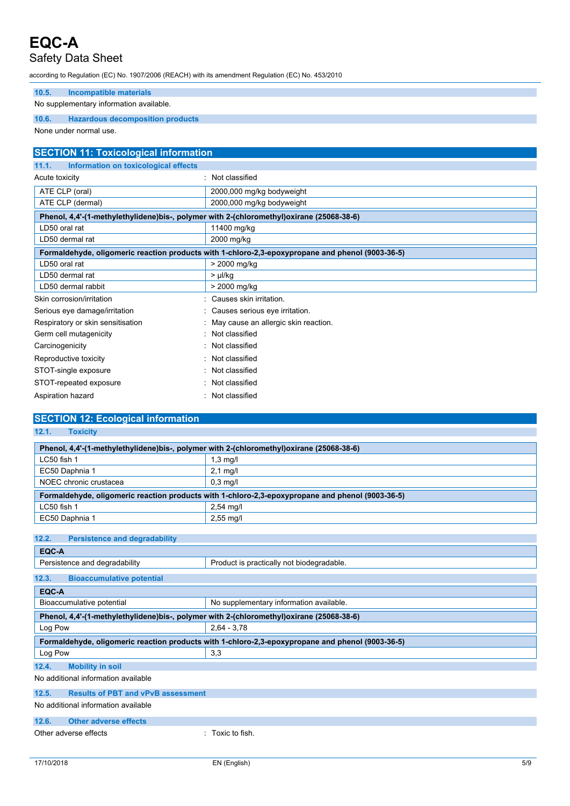**EQC-A**

### Safety Data Sheet

according to Regulation (EC) No. 1907/2006 (REACH) with its amendment Regulation (EC) No. 453/2010

#### **10.5. Incompatible materials**

No supplementary information available.

#### **10.6. Hazardous decomposition products**

None under normal use.

| <b>SECTION 11: Toxicological information</b>                                             |                                                                                                  |  |
|------------------------------------------------------------------------------------------|--------------------------------------------------------------------------------------------------|--|
| 11.1.<br>Information on toxicological effects                                            |                                                                                                  |  |
| Acute toxicity                                                                           | : Not classified                                                                                 |  |
| ATE CLP (oral)                                                                           | 2000,000 mg/kg bodyweight                                                                        |  |
| ATE CLP (dermal)                                                                         | 2000,000 mg/kg bodyweight                                                                        |  |
| Phenol, 4,4'-(1-methylethylidene)bis-, polymer with 2-(chloromethyl)oxirane (25068-38-6) |                                                                                                  |  |
| LD50 oral rat                                                                            | 11400 mg/kg                                                                                      |  |
| LD50 dermal rat                                                                          | 2000 mg/kg                                                                                       |  |
|                                                                                          | Formaldehyde, oligomeric reaction products with 1-chloro-2,3-epoxypropane and phenol (9003-36-5) |  |
| LD50 oral rat                                                                            | > 2000 mg/kg                                                                                     |  |
| LD50 dermal rat                                                                          | $> \mu$ /kg                                                                                      |  |
| LD50 dermal rabbit                                                                       | > 2000 mg/kg                                                                                     |  |
| Skin corrosion/irritation                                                                | : Causes skin irritation.                                                                        |  |
| Serious eye damage/irritation                                                            | : Causes serious eye irritation.                                                                 |  |
| Respiratory or skin sensitisation                                                        | : May cause an allergic skin reaction.                                                           |  |
| Germ cell mutagenicity                                                                   | : Not classified                                                                                 |  |
| Carcinogenicity                                                                          | : Not classified                                                                                 |  |
| Reproductive toxicity                                                                    | Not classified                                                                                   |  |
| STOT-single exposure                                                                     | : Not classified                                                                                 |  |
| STOT-repeated exposure                                                                   | : Not classified                                                                                 |  |
| Aspiration hazard                                                                        | : Not classified                                                                                 |  |

| <b>SECTION 12: Ecological information</b>                                                        |                                           |  |
|--------------------------------------------------------------------------------------------------|-------------------------------------------|--|
| 12.1.<br><b>Toxicity</b>                                                                         |                                           |  |
| Phenol, 4,4'-(1-methylethylidene)bis-, polymer with 2-(chloromethyl)oxirane (25068-38-6)         |                                           |  |
|                                                                                                  |                                           |  |
| LC50 fish 1                                                                                      | $1,3$ mg/l                                |  |
| EC50 Daphnia 1                                                                                   | $2.1$ mg/l                                |  |
| NOEC chronic crustacea                                                                           | $0.3$ mg/l                                |  |
| Formaldehyde, oligomeric reaction products with 1-chloro-2,3-epoxypropane and phenol (9003-36-5) |                                           |  |
| LC50 fish 1                                                                                      | $2,54$ mg/l                               |  |
| EC50 Daphnia 1                                                                                   | $2,55$ mg/l                               |  |
|                                                                                                  |                                           |  |
| 12.2.<br><b>Persistence and degradability</b>                                                    |                                           |  |
| EQC-A                                                                                            |                                           |  |
| Persistence and degradability                                                                    | Product is practically not biodegradable. |  |

| 12.3.<br><b>Bioaccumulative potential</b>                                                        |                                         |  |
|--------------------------------------------------------------------------------------------------|-----------------------------------------|--|
| EQC-A                                                                                            |                                         |  |
| Bioaccumulative potential                                                                        | No supplementary information available. |  |
| Phenol, 4,4'-(1-methylethylidene)bis-, polymer with 2-(chloromethyl)oxirane (25068-38-6)         |                                         |  |
| Log Pow                                                                                          | $2.64 - 3.78$                           |  |
| Formaldehyde, oligomeric reaction products with 1-chloro-2,3-epoxypropane and phenol (9003-36-5) |                                         |  |
| Log Pow                                                                                          | 3,3                                     |  |
| 12.4.<br><b>Mobility in soil</b>                                                                 |                                         |  |
| No additional information available                                                              |                                         |  |
| 12.5.<br><b>Results of PBT and vPvB assessment</b>                                               |                                         |  |
| No additional information available                                                              |                                         |  |
| 42C<br>Othar advarge offects                                                                     |                                         |  |

#### 12.**6. Other adverse** effe

Other adverse effects : Toxic to fish.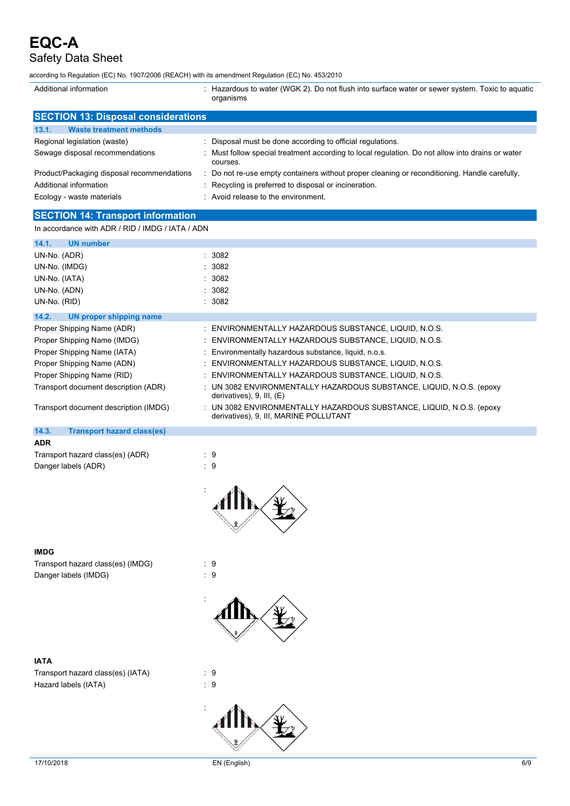| $    -$<br>according to Regulation (EC) No. 1907/2006 (REACH) with its amendment Regulation (EC) No. 453/2010 |                                                                                                                |  |
|---------------------------------------------------------------------------------------------------------------|----------------------------------------------------------------------------------------------------------------|--|
| Additional information                                                                                        | : Hazardous to water (WGK 2). Do not flush into surface water or sewer system. Toxic to aquatic<br>organisms   |  |
| <b>SECTION 13: Disposal considerations</b>                                                                    |                                                                                                                |  |
| 13.1.<br><b>Waste treatment methods</b>                                                                       |                                                                                                                |  |
| Regional legislation (waste)                                                                                  | Disposal must be done according to official regulations.                                                       |  |
| Sewage disposal recommendations                                                                               | Must follow special treatment according to local regulation. Do not allow into drains or water<br>courses.     |  |
| Product/Packaging disposal recommendations                                                                    | : Do not re-use empty containers without proper cleaning or reconditioning. Handle carefully.                  |  |
| Additional information                                                                                        | Recycling is preferred to disposal or incineration.                                                            |  |
| Ecology - waste materials                                                                                     | : Avoid release to the environment.                                                                            |  |
| <b>SECTION 14: Transport information</b>                                                                      |                                                                                                                |  |
| In accordance with ADR / RID / IMDG / IATA / ADN                                                              |                                                                                                                |  |
| 14.1.<br><b>UN number</b>                                                                                     |                                                                                                                |  |
| UN-No. (ADR)                                                                                                  | : 3082                                                                                                         |  |
| UN-No. (IMDG)                                                                                                 | 3082                                                                                                           |  |
| UN-No. (IATA)                                                                                                 | 3082                                                                                                           |  |
| UN-No. (ADN)                                                                                                  | 3082                                                                                                           |  |
| UN-No. (RID)                                                                                                  | : 3082                                                                                                         |  |
| 14.2.<br><b>UN proper shipping name</b>                                                                       |                                                                                                                |  |
| Proper Shipping Name (ADR)                                                                                    | : ENVIRONMENTALLY HAZARDOUS SUBSTANCE, LIQUID, N.O.S.                                                          |  |
| Proper Shipping Name (IMDG)                                                                                   | ENVIRONMENTALLY HAZARDOUS SUBSTANCE, LIQUID, N.O.S.                                                            |  |
| Proper Shipping Name (IATA)                                                                                   | Environmentally hazardous substance, liquid, n.o.s.                                                            |  |
| Proper Shipping Name (ADN)                                                                                    | ENVIRONMENTALLY HAZARDOUS SUBSTANCE, LIQUID, N.O.S.                                                            |  |
| Proper Shipping Name (RID)                                                                                    | ENVIRONMENTALLY HAZARDOUS SUBSTANCE, LIQUID, N.O.S.                                                            |  |
| Transport document description (ADR)                                                                          | : UN 3082 ENVIRONMENTALLY HAZARDOUS SUBSTANCE, LIQUID, N.O.S. (epoxy<br>derivatives), 9, III, (E)              |  |
| Transport document description (IMDG)                                                                         | : UN 3082 ENVIRONMENTALLY HAZARDOUS SUBSTANCE, LIQUID, N.O.S. (epoxy<br>derivatives), 9, III, MARINE POLLUTANT |  |
| 14.3.<br><b>Transport hazard class(es)</b>                                                                    |                                                                                                                |  |
| <b>ADR</b>                                                                                                    |                                                                                                                |  |
| Transport hazard class(es) (ADR)                                                                              | : 9                                                                                                            |  |
| Danger labels (ADR)                                                                                           | : 9                                                                                                            |  |
|                                                                                                               |                                                                                                                |  |
| <b>IMDG</b>                                                                                                   |                                                                                                                |  |
| Transport hazard class(es) (IMDG)                                                                             | : 9                                                                                                            |  |
| Danger labels (IMDG)                                                                                          | :9                                                                                                             |  |
|                                                                                                               |                                                                                                                |  |

Transport hazard class(es) (IATA) : 9 Hazard labels (IATA)  $\qquad \qquad : 9$ 

 $\frac{9}{2}$ 

 $\mathbf{h}$ 

 $\sum_{i=1}^{n}$ 

: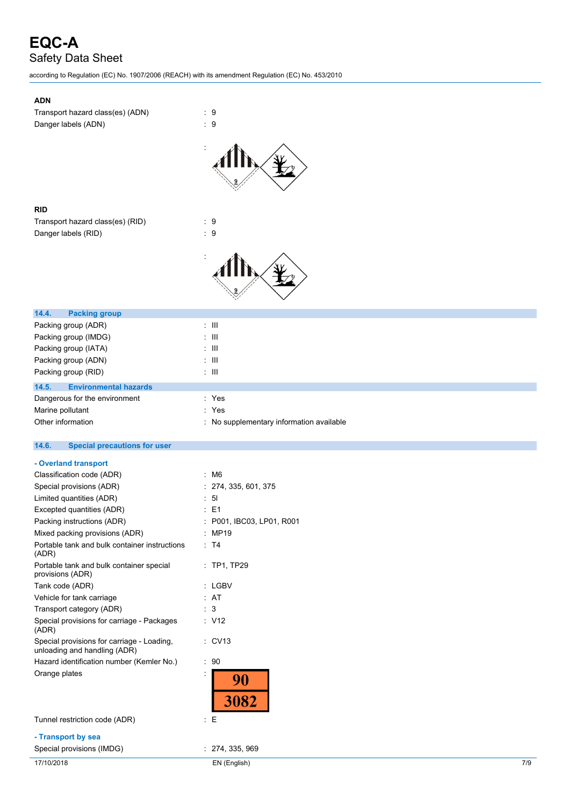according to Regulation (EC) No. 1907/2006 (REACH) with its amendment Regulation (EC) No. 453/2010

| <b>ADN</b>                                                   |                                        |
|--------------------------------------------------------------|----------------------------------------|
| Transport hazard class(es) (ADN)<br>Danger labels (ADN)      | t<br>9<br>÷.<br>9                      |
|                                                              |                                        |
| <b>RID</b>                                                   |                                        |
| Transport hazard class(es) (RID)                             | 9<br>t                                 |
| Danger labels (RID)                                          | ÷<br>9                                 |
|                                                              |                                        |
| 14.4.<br><b>Packing group</b>                                |                                        |
| Packing group (ADR)                                          | Ш<br>t                                 |
| Packing group (IMDG)                                         | Ш                                      |
| Packing group (IATA)                                         | Ш                                      |
| Packing group (ADN)                                          | Ш<br>÷                                 |
| Packing group (RID)                                          | Ш<br>÷                                 |
| 14.5.<br><b>Environmental hazards</b>                        |                                        |
| Dangerous for the environment                                | Yes                                    |
| Marine pollutant                                             | Yes                                    |
| Other information                                            | No supplementary information available |
| 14.6.<br><b>Special precautions for user</b>                 |                                        |
| - Overland transport                                         |                                        |
| Classification code (ADR)                                    | : M6                                   |
| Special provisions (ADR)                                     | 274, 335, 601, 375                     |
| Limited quantities (ADR)                                     | 51                                     |
| Excepted quantities (ADR)                                    | E <sub>1</sub>                         |
| Packing instructions (ADR)                                   | P001, IBC03, LP01, R001                |
| Mixed packing provisions (ADR)                               | MP19                                   |
| Portable tank and bulk container instructions<br>(ADR)       | : T4                                   |
| Portable tank and bulk container special<br>provisions (ADR) | $:$ TP1, TP29                          |
| Tank code (ADR)                                              | : LGBV                                 |
| Vehicle for tank carriage                                    | : AT                                   |
| Transport category (ADR)                                     | 3                                      |
| Special provisions for carriage - Packages<br>(ADR)          | : V12                                  |

unloading and handling (ADR) Hazard identification number (Kemler No.) : 90 Orange plates in the set of the set of the set of the set of the set of the set of the set of the set of the set of the set of the set of the set of the set of the set of the set of the set of the set of the set of the set

Special provisions for carriage - Loading,

Tunnel restriction code (ADR) : E

**- Transport by sea**

Special provisions (IMDG)  $\qquad \qquad$  : 274, 335, 969

90

3082

: CV13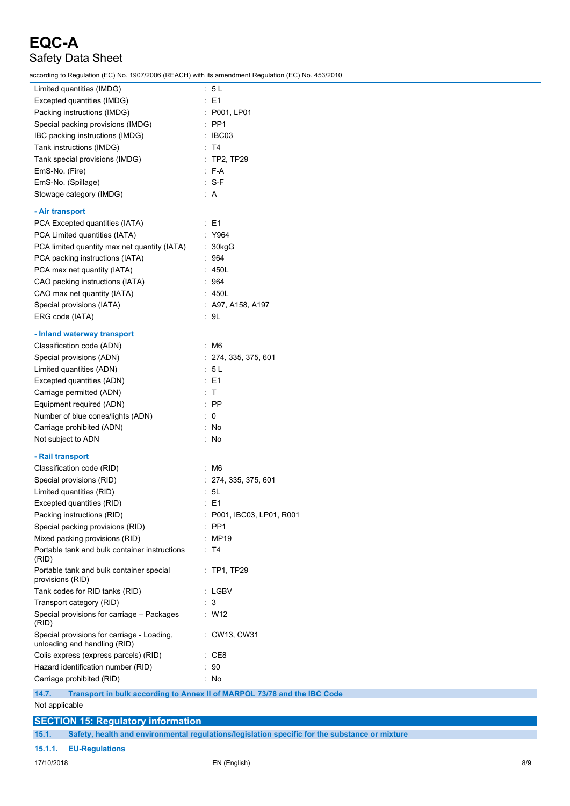according to Regulation (EC) No. 1907/2006 (REACH) with its amendment Regulation (EC) No. 453/2010

| Limited quantities (IMDG)                                                         | : 5L                    |  |
|-----------------------------------------------------------------------------------|-------------------------|--|
| Excepted quantities (IMDG)                                                        | $\therefore$ E1         |  |
| Packing instructions (IMDG)                                                       | : P001, LP01            |  |
| Special packing provisions (IMDG)                                                 | $:$ PP1                 |  |
| IBC packing instructions (IMDG)                                                   | : IBCO3                 |  |
| Tank instructions (IMDG)                                                          | : T4                    |  |
| Tank special provisions (IMDG)                                                    | $:$ TP2, TP29           |  |
| EmS-No. (Fire)                                                                    | $\therefore$ F-A        |  |
| EmS-No. (Spillage)                                                                | $: S-F$                 |  |
| Stowage category (IMDG)                                                           | : A                     |  |
|                                                                                   |                         |  |
| - Air transport                                                                   |                         |  |
| PCA Excepted quantities (IATA)                                                    | $\therefore$ E1         |  |
| PCA Limited quantities (IATA)                                                     | : Y964                  |  |
| PCA limited quantity max net quantity (IATA)                                      | : 30kgG                 |  |
| PCA packing instructions (IATA)                                                   | : 964                   |  |
| PCA max net quantity (IATA)                                                       | : 450L                  |  |
| CAO packing instructions (IATA)                                                   | : 964                   |  |
| CAO max net quantity (IATA)                                                       | : 450L                  |  |
| Special provisions (IATA)                                                         | : A97, A158, A197       |  |
| ERG code (IATA)                                                                   | : 9L                    |  |
| - Inland waterway transport                                                       |                         |  |
| Classification code (ADN)                                                         | : M6                    |  |
|                                                                                   |                         |  |
| Special provisions (ADN)                                                          | : 274, 335, 375, 601    |  |
| Limited quantities (ADN)                                                          | : 5 L                   |  |
| Excepted quantities (ADN)                                                         | $\therefore$ E1         |  |
| Carriage permitted (ADN)                                                          | : T                     |  |
| Equipment required (ADN)                                                          | $\therefore$ PP         |  |
| Number of blue cones/lights (ADN)                                                 | $\therefore$ 0          |  |
| Carriage prohibited (ADN)                                                         | : No                    |  |
| Not subject to ADN                                                                | : No                    |  |
| - Rail transport                                                                  |                         |  |
| Classification code (RID)                                                         | $\therefore$ M6         |  |
| Special provisions (RID)                                                          | : 274, 335, 375, 601    |  |
| Limited quantities (RID)                                                          | : 5L                    |  |
| Excepted quantities (RID)                                                         | $\therefore$ E1         |  |
| Packing instructions (RID)                                                        | P001, IBC03, LP01, R001 |  |
| Special packing provisions (RID)                                                  | PP1                     |  |
| Mixed packing provisions (RID)                                                    | : MP19                  |  |
| Portable tank and bulk container instructions                                     | : T4                    |  |
| (RID)                                                                             |                         |  |
| Portable tank and bulk container special                                          | $:$ TP1, TP29           |  |
| provisions (RID)                                                                  |                         |  |
| Tank codes for RID tanks (RID)                                                    | : LGBV                  |  |
| Transport category (RID)                                                          | : 3                     |  |
| Special provisions for carriage - Packages<br>(RID)                               | : W12                   |  |
| Special provisions for carriage - Loading,<br>unloading and handling (RID)        | : CW13, CW31            |  |
| Colis express (express parcels) (RID)                                             | : CE8                   |  |
| Hazard identification number (RID)                                                | : 90                    |  |
| Carriage prohibited (RID)                                                         | : No                    |  |
| 14.7.<br>Transport in bulk according to Annex II of MARPOL 73/78 and the IBC Code |                         |  |
| Not applicable                                                                    |                         |  |
|                                                                                   |                         |  |
| <b>SECTION 15: Regulatory information</b>                                         |                         |  |

**15.1. Safety, health and environmental regulations/legislation specific for the substance or mixture**

**15.1.1. EU-Regulations**